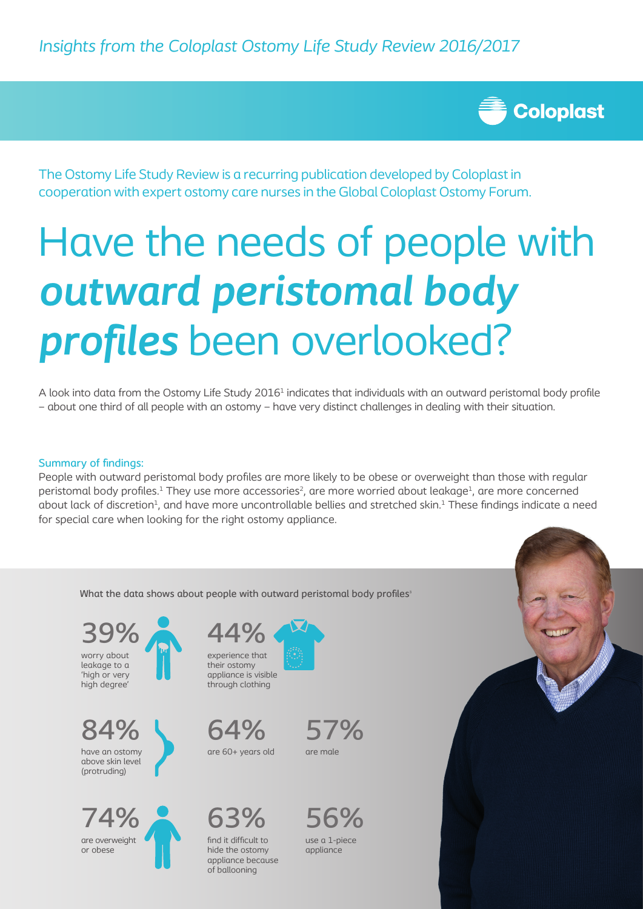

The Ostomy Life Study Review is a recurring publication developed by Coloplast in cooperation with expert ostomy care nurses in the Global Coloplast Ostomy Forum.

# Have the needs of people with *outward peristomal body profiles* been overlooked?

A look into data from the Ostomy Life Study 2016<sup>1</sup> indicates that individuals with an outward peristomal body profile – about one third of all people with an ostomy – have very distinct challenges in dealing with their situation.

## Summary of findings:

People with outward peristomal body profiles are more likely to be obese or overweight than those with regular peristomal body profiles.<sup>1</sup> They use more accessories<sup>2</sup>, are more worried about leakage<sup>1</sup>, are more concerned about lack of discretion<sup>1</sup>, and have more uncontrollable bellies and stretched skin.<sup>1</sup> These findings indicate a need for special care when looking for the right ostomy appliance.

What the data shows about people with outward peristomal body profiles<sup>3</sup>

worry about leakage to a 'high or very high degree' 39%

have an ostomy above skin level (protruding) 84%



experience that their ostomy appliance is visible through clothing 44%

are 60+ years old 64%

find it difficult to hide the ostomy appliance because of ballooning

63%







use a 1-piece appliance